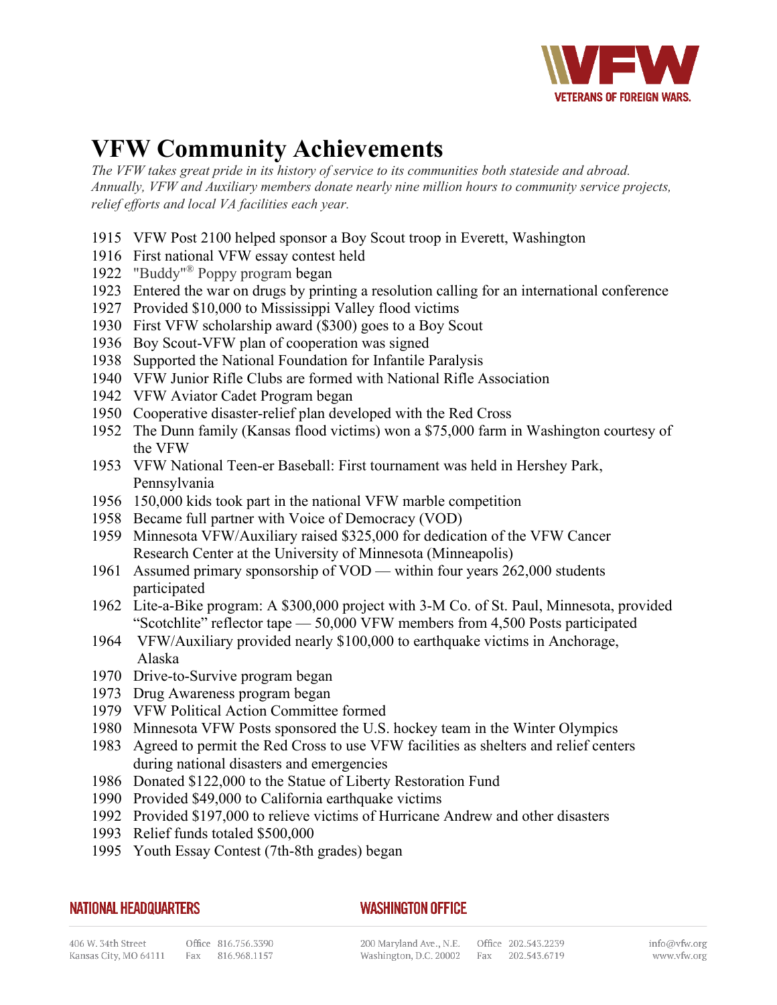

## **VFW Community Achievements**

*The VFW takes great pride in its history of service to its communities both stateside and abroad. Annually, VFW and Auxiliary members donate nearly nine million hours to community service projects, relief efforts and local VA facilities each year.* 

- 1915 VFW Post 2100 helped sponsor a Boy Scout troop in Everett, Washington
- 1916 First national VFW essay contest held
- 1922 "Buddy"® Poppy program began
- 1923 Entered the war on drugs by printing a resolution calling for an international conference
- 1927 Provided \$10,000 to Mississippi Valley flood victims
- 1930 First VFW scholarship award (\$300) goes to a Boy Scout
- 1936 Boy Scout-VFW plan of cooperation was signed
- 1938 Supported the National Foundation for Infantile Paralysis
- 1940 VFW Junior Rifle Clubs are formed with National Rifle Association
- 1942 VFW Aviator Cadet Program began
- 1950 Cooperative disaster-relief plan developed with the Red Cross
- 1952 The Dunn family (Kansas flood victims) won a \$75,000 farm in Washington courtesy of the VFW
- 1953 VFW National Teen-er Baseball: First tournament was held in Hershey Park, Pennsylvania
- 1956 150,000 kids took part in the national VFW marble competition
- 1958 Became full partner with Voice of Democracy (VOD)
- 1959 Minnesota VFW/Auxiliary raised \$325,000 for dedication of the VFW Cancer Research Center at the University of Minnesota (Minneapolis)
- 1961 Assumed primary sponsorship of VOD within four years 262,000 students participated
- 1962 Lite-a-Bike program: A \$300,000 project with 3-M Co. of St. Paul, Minnesota, provided "Scotchlite" reflector tape — 50,000 VFW members from 4,500 Posts participated
- 1964 VFW/Auxiliary provided nearly \$100,000 to earthquake victims in Anchorage, Alaska
- 1970 Drive-to-Survive program began
- 1973 Drug Awareness program began
- 1979 VFW Political Action Committee formed
- 1980 Minnesota VFW Posts sponsored the U.S. hockey team in the Winter Olympics
- 1983 Agreed to permit the Red Cross to use VFW facilities as shelters and relief centers during national disasters and emergencies
- 1986 Donated \$122,000 to the Statue of Liberty Restoration Fund
- 1990 Provided \$49,000 to California earthquake victims
- 1992 Provided \$197,000 to relieve victims of Hurricane Andrew and other disasters
- 1993 Relief funds totaled \$500,000
- 1995 Youth Essay Contest (7th-8th grades) began

## **NATIONAL HEADQUARTERS**

## **WASHINGTON OFFICE**